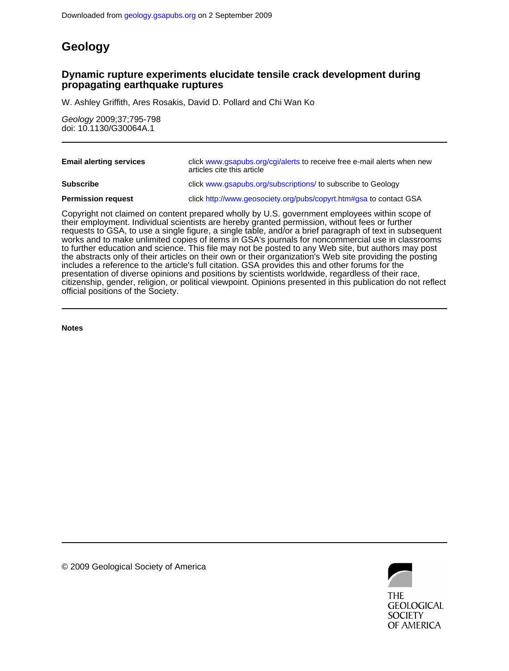## **Geology**

### **propagating earthquake ruptures Dynamic rupture experiments elucidate tensile crack development during**

W. Ashley Griffith, Ares Rosakis, David D. Pollard and Chi Wan Ko

doi: 10.1130/G30064A.1 Geology 2009;37;795-798

| <b>Email alerting services</b>                                                                                                                                                                                                                                                                             | click www.qsapubs.org/cgi/alerts to receive free e-mail alerts when new<br>articles cite this article |
|------------------------------------------------------------------------------------------------------------------------------------------------------------------------------------------------------------------------------------------------------------------------------------------------------------|-------------------------------------------------------------------------------------------------------|
| <b>Subscribe</b>                                                                                                                                                                                                                                                                                           | click www.gsapubs.org/subscriptions/ to subscribe to Geology                                          |
| <b>Permission request</b>                                                                                                                                                                                                                                                                                  | click http://www.geosociety.org/pubs/copyrt.htm#gsa to contact GSA                                    |
| Copyright not claimed on content prepared wholly by U.S. government employees within scope of<br>their employment. Individual scientists are hereby granted permission, without fees or further<br>requests to GSA, to use a single figure, a single table, and/or a brief paragraph of text in subsequent |                                                                                                       |

official positions of the Society. citizenship, gender, religion, or political viewpoint. Opinions presented in this publication do not reflect presentation of diverse opinions and positions by scientists worldwide, regardless of their race, includes a reference to the article's full citation. GSA provides this and other forums for the the abstracts only of their articles on their own or their organization's Web site providing the posting to further education and science. This file may not be posted to any Web site, but authors may post works and to make unlimited copies of items in GSA's journals for noncommercial use in classrooms requests to GSA, to use a single figure, a single table, and/or a brief paragraph of text in subsequent

**Notes**



© 2009 Geological Society of America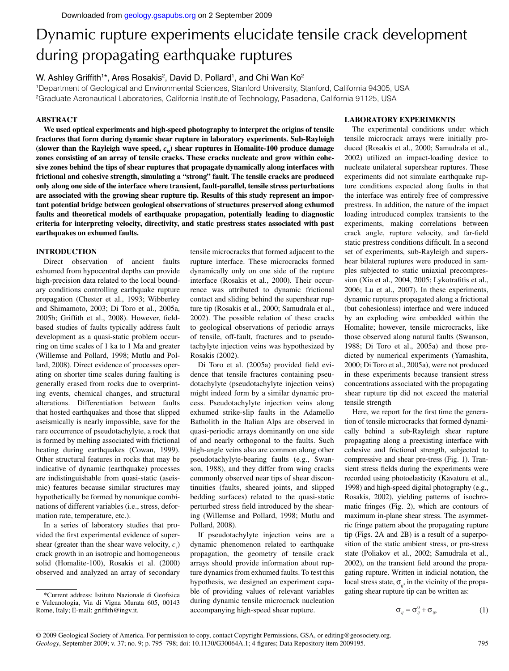# Dynamic rupture experiments elucidate tensile crack development during propagating earthquake ruptures

#### W. Ashley Griffith1\*, Ares Rosakis<sup>2</sup>, David D. Pollard<sup>1</sup>, and Chi Wan Ko<sup>2</sup>

1 Department of Geological and Environmental Sciences, Stanford University, Stanford, California 94305, USA 2 Graduate Aeronautical Laboratories, California Institute of Technology, Pasadena, California 91125, USA

#### **ABSTRACT**

**We used optical experiments and high-speed photography to interpret the origins of tensile fractures that form during dynamic shear rupture in laboratory experiments. Sub-Rayleigh**  (slower than the Rayleigh wave speed,  $c<sub>R</sub>$ ) shear ruptures in Homalite-100 produce damage **zones consisting of an array of tensile cracks. These cracks nucleate and grow within cohesive zones behind the tips of shear ruptures that propagate dynamically along interfaces with frictional and cohesive strength, simulating a "strong" fault. The tensile cracks are produced only along one side of the interface where transient, fault-parallel, tensile stress perturbations are associated with the growing shear rupture tip. Results of this study represent an important potential bridge between geological observations of structures preserved along exhumed faults and theoretical models of earthquake propagation, potentially leading to diagnostic criteria for interpreting velocity, directivity, and static prestress states associated with past earthquakes on exhumed faults.**

#### **INTRODUCTION**

Direct observation of ancient faults exhumed from hypocentral depths can provide high-precision data related to the local boundary conditions controlling earthquake rupture propagation (Chester et al., 1993; Wibberley and Shimamoto, 2003; Di Toro et al., 2005a, 2005b; Griffith et al., 2008). However, fieldbased studies of faults typically address fault development as a quasi-static problem occurring on time scales of 1 ka to 1 Ma and greater (Willemse and Pollard, 1998; Mutlu and Pollard, 2008). Direct evidence of processes operating on shorter time scales during faulting is generally erased from rocks due to overprinting events, chemical changes, and structural alterations. Differentiation between faults that hosted earthquakes and those that slipped aseismically is nearly impossible, save for the rare occurrence of pseudotachylyte, a rock that is formed by melting associated with frictional heating during earthquakes (Cowan, 1999). Other structural features in rocks that may be indicative of dynamic (earthquake) processes are indistinguishable from quasi-static (aseismic) features because similar structures may hypothetically be formed by nonunique combinations of different variables (i.e., stress, deformation rate, temperature, etc.).

In a series of laboratory studies that provided the first experimental evidence of supershear (greater than the shear wave velocity,  $c_s$ ) crack growth in an isotropic and homogeneous solid (Homalite-100), Rosakis et al. (2000) observed and analyzed an array of secondary

tensile microcracks that formed adjacent to the rupture interface. These microcracks formed dynamically only on one side of the rupture interface (Rosakis et al., 2000). Their occurrence was attributed to dynamic frictional contact and sliding behind the supershear rupture tip (Rosakis et al., 2000; Samudrala et al., 2002). The possible relation of these cracks to geological observations of periodic arrays of tensile, off-fault, fractures and to pseudotachylyte injection veins was hypothesized by Rosakis (2002).

Di Toro et al. (2005a) provided field evidence that tensile fractures containing pseudotachylyte (pseudotachylyte injection veins) might indeed form by a similar dynamic process. Pseudotachylyte injection veins along exhumed strike-slip faults in the Adamello Batholith in the Italian Alps are observed in quasi-periodic arrays dominantly on one side of and nearly orthogonal to the faults. Such high-angle veins also are common along other pseudotachylyte-bearing faults (e.g., Swanson, 1988), and they differ from wing cracks commonly observed near tips of shear discontinuities (faults, sheared joints, and slipped bedding surfaces) related to the quasi-static perturbed stress field introduced by the shearing (Willemse and Pollard, 1998; Mutlu and Pollard, 2008).

If pseudotachylyte injection veins are a dynamic phenomenon related to earthquake propagation, the geometry of tensile crack arrays should provide information about rupture dynamics from exhumed faults. To test this hypothesis, we designed an experiment capable of providing values of relevant variables during dynamic tensile microcrack nucleation accompanying high-speed shear rupture.

#### **LABORATORY EXPERIMENTS**

The experimental conditions under which tensile microcrack arrays were initially produced (Rosakis et al., 2000; Samudrala et al., 2002) utilized an impact-loading device to nucleate unilateral supershear ruptures. These experiments did not simulate earthquake rupture conditions expected along faults in that the interface was entirely free of compressive prestress. In addition, the nature of the impact loading introduced complex transients to the experiments, making correlations between crack angle, rupture velocity, and far-field static prestress conditions difficult. In a second set of experiments, sub-Rayleigh and supershear bilateral ruptures were produced in samples subjected to static uniaxial precompression (Xia et al., 2004, 2005; Lykotrafitis et al., 2006; Lu et al., 2007). In these experiments, dynamic ruptures propagated along a frictional (but cohesionless) interface and were induced by an exploding wire embedded within the Homalite; however, tensile microcracks, like those observed along natural faults (Swanson, 1988; Di Toro et al., 2005a) and those predicted by numerical experiments (Yamashita, 2000; Di Toro et al., 2005a), were not produced in these experiments because transient stress concentrations associated with the propagating shear rupture tip did not exceed the material tensile strength

Here, we report for the first time the generation of tensile microcracks that formed dynamically behind a sub-Rayleigh shear rupture propagating along a preexisting interface with cohesive and frictional strength, subjected to compressive and shear pre-tress (Fig. 1). Transient stress fields during the experiments were recorded using photoelasticity (Kavaturu et al., 1998) and high-speed digital photography (e.g., Rosakis, 2002), yielding patterns of isochromatic fringes (Fig. 2), which are contours of maximum in-plane shear stress. The asymmetric fringe pattern about the propagating rupture tip (Figs. 2A and 2B) is a result of a superposition of the static ambient stress, or pre-stress state (Poliakov et al., 2002; Samudrala et al., 2002), on the transient field around the propagating rupture. Written in indicial notation, the local stress state,  $\sigma_{ij}$ , in the vicinity of the propagating shear rupture tip can be written as:

$$
\sigma_{ij} = \sigma_{ij}^0 + \sigma_{ij}, \qquad (1)
$$

Geology, September 2009; v. 37; no. 9; p. 795–798; doi: 10.1130/G30064A.1; 4 figures; Data Repository item 2009195. © 2009 Geological Society of America. For permission to copy, contact Copyright Permissions, GSA, or editing@geosociety.org.

<sup>\*</sup>Current address: Istituto Nazionale di Geofi sica e Vulcanologia, Via di Vigna Murata 605, 00143 Rome, Italy; E-mail: griffith@ingv.it.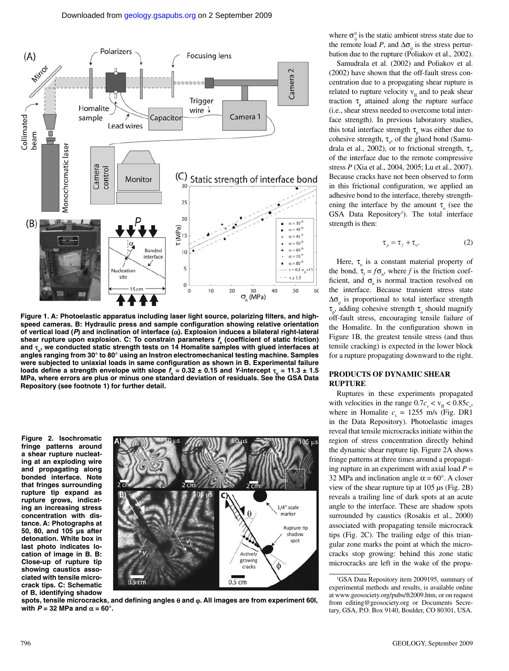

Figure 1. A: Photoelastic apparatus including laser light source, polarizing filters, and highspeed cameras. B: Hydraulic press and sample configuration showing relative orientation **of vertical load (***P***) and inclination of interface (**α**). Explosion induces a bilateral right-lateral**  shear rupture upon explosion. C: To constrain parameters *f*<sub>4</sub> (coefficient of static friction) **s and** τ**o, we conducted static strength tests on 14 Homalite samples with glued interfaces at angles ranging from 30° to 80° using an Instron electromechanical testing machine. Samples**  were subjected to uniaxial loads in same configuration as shown in B. Experimental failure **loads define a strength envelope with slope**  $f_s = 0.32 \pm 0.15$  **and Y-intercept**  $\tau_s = 11.3 \pm 1.5$ **MPa, where errors are plus or minus one standard deviation of residuals. See the GSA Data Repository (see footnote 1) for further detail.**

**Figure 2. Isochromatic fringe patterns around a shear rupture nucleating at an exploding wire and propagating along bonded interface. Note that fringes surrounding rupture tip expand as rupture grows, indicating an increasing stress concentration with distance. A: Photographs at 50, 80, and 105 µs after detonation. White box in last photo indicates location of image in B. B: Close-up of rupture tip showing caustics associated with tensile microcrack tips. C: Schematic of B, identifying shadow** 



**spots, tensile microcracks, and defi ning angles** θ **and** ϕ**. All images are from experiment 60I, with**  $P = 32$  **MPa and**  $α = 60^\circ$ **.** 

where  $\sigma_{ij}^0$  is the static ambient stress state due to the remote load *P*, and  $\Delta \sigma_{ij}$  is the stress perturbation due to the rupture (Poliakov et al., 2002).

Samudrala et al. (2002) and Poliakov et al. (2002) have shown that the off-fault stress concentration due to a propagating shear rupture is related to rupture velocity  $v_{II}$  and to peak shear traction  $\tau_{\text{p}}$  attained along the rupture surface (i.e., shear stress needed to overcome total interface strength). In previous laboratory studies, this total interface strength  $\tau_{p}$  was either due to cohesive strength,  $\tau_o$ , of the glued bond (Samudrala et al., 2002), or to frictional strength, τ<sub>ρ</sub> of the interface due to the remote compressive stress *P* (Xia et al., 2004, 2005; Lu et al., 2007). Because cracks have not been observed to form in this frictional configuration, we applied an adhesive bond to the interface, thereby strengthening the interface by the amount  $\tau_{0}$  (see the GSA Data Repository<sup>1</sup>). The total interface strength is then:

$$
\tau_p = \tau_f + \tau_o. \tag{2}
$$

Here,  $\tau_{0}$  is a constant material property of the bond,  $\tau_f = f\sigma_n$ , where *f* is the friction coefficient, and  $\sigma$  is normal traction resolved on the interface. Because transient stress state  $\Delta\sigma$ <sub>*ii*</sub> is proportional to total interface strength  $\tau_{p}$ , adding cohesive strength  $\tau_{0}$  should magnify off-fault stress, encouraging tensile failure of the Homalite. In the configuration shown in Figure 1B, the greatest tensile stress (and thus tensile cracking) is expected in the lower block for a rupture propagating downward to the right.

#### **PRODUCTS OF DYNAMIC SHEAR RUPTURE**

Ruptures in these experiments propagated with velocities in the range  $0.7c_s < v_{II} < 0.85c_s$ , where in Homalite  $c_s = 1255$  m/s (Fig. DR1 in the Data Repository). Photoelastic images reveal that tensile microcracks initiate within the region of stress concentration directly behind the dynamic shear rupture tip. Figure 2A shows fringe patterns at three times around a propagating rupture in an experiment with axial load  $P =$ 32 MPa and inclination angle  $\alpha = 60^{\circ}$ . A closer view of the shear rupture tip at 105 µs (Fig. 2B) reveals a trailing line of dark spots at an acute angle to the interface. These are shadow spots surrounded by caustics (Rosakis et al., 2000) associated with propagating tensile microcrack tips (Fig. 2C). The trailing edge of this triangular zone marks the point at which the microcracks stop growing: behind this zone static microcracks are left in the wake of the propa-

<sup>1</sup> GSA Data Repository item 2009195, summary of experimental methods and results, is available online at www.geosociety.org/pubs/ft2009.htm, or on request from editing@geosociety.org or Documents Secretary, GSA, P.O. Box 9140, Boulder, CO 80301, USA.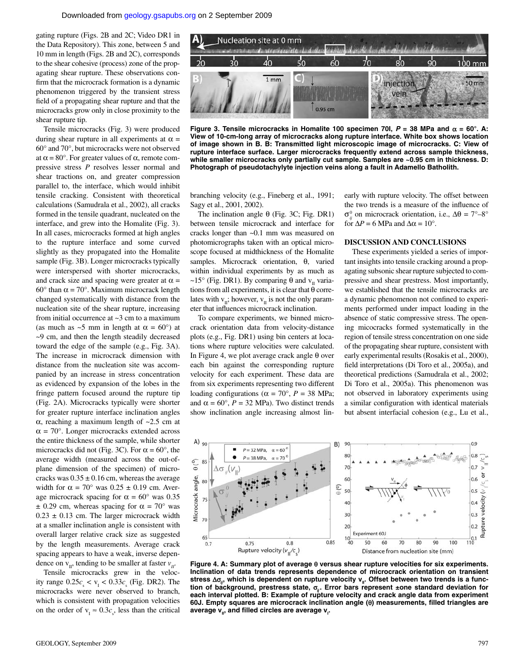gating rupture (Figs. 2B and 2C; Video DR1 in the Data Repository). This zone, between 5 and 10 mm in length (Figs. 2B and 2C), corresponds to the shear cohesive (process) zone of the propagating shear rupture. These observations confirm that the microcrack formation is a dynamic phenomenon triggered by the transient stress field of a propagating shear rupture and that the microcracks grow only in close proximity to the shear rupture tip.

Tensile microcracks (Fig. 3) were produced during shear rupture in all experiments at  $\alpha$  = 60° and 70°, but microcracks were not observed at  $\alpha$  = 80°. For greater values of  $\alpha$ , remote compressive stress *P* resolves lesser normal and shear tractions on, and greater compression parallel to, the interface, which would inhibit tensile cracking. Consistent with theoretical calculations (Samudrala et al., 2002), all cracks formed in the tensile quadrant, nucleated on the interface, and grew into the Homalite (Fig. 3). In all cases, microcracks formed at high angles to the rupture interface and some curved slightly as they propagated into the Homalite sample (Fig. 3B). Longer microcracks typically were interspersed with shorter microcracks, and crack size and spacing were greater at  $\alpha$  = 60° than  $\alpha$  = 70°. Maximum microcrack length changed systematically with distance from the nucleation site of the shear rupture, increasing from initial occurrence at ~3 cm to a maximum (as much as  $\sim$ 5 mm in length at  $\alpha$  = 60°) at ~9 cm, and then the length steadily decreased toward the edge of the sample (e.g., Fig. 3A). The increase in microcrack dimension with distance from the nucleation site was accompanied by an increase in stress concentration as evidenced by expansion of the lobes in the fringe pattern focused around the rupture tip (Fig. 2A). Microcracks typically were shorter for greater rupture interface inclination angles α, reaching a maximum length of  $~2.5$  cm at  $\alpha = 70^{\circ}$ . Longer microcracks extended across the entire thickness of the sample, while shorter microcracks did not (Fig. 3C). For  $\alpha = 60^{\circ}$ , the average width (measured across the out-ofplane dimension of the specimen) of microcracks was  $0.35 \pm 0.16$  cm, whereas the average width for  $\alpha = 70^{\circ}$  was  $0.25 \pm 0.19$  cm. Average microcrack spacing for  $\alpha = 60^{\circ}$  was 0.35  $\pm$  0.29 cm, whereas spacing for  $\alpha$  = 70° was  $0.23 \pm 0.13$  cm. The larger microcrack width at a smaller inclination angle is consistent with overall larger relative crack size as suggested by the length measurements. Average crack spacing appears to have a weak, inverse dependence on  $v_{\text{II}}$ , tending to be smaller at faster  $v_{\text{II}}$ .

Tensile microcracks grew in the velocity range  $0.25c_s < v_I < 0.33c_s$  (Fig. DR2). The microcracks were never observed to branch, which is consistent with propagation velocities on the order of  $v_1 \approx 0.3c_s$ , less than the critical



**Figure 3. Tensile microcracks in Homalite 100 specimen 70l,**  $P = 38$  **MPa and**  $α = 60^\circ$ **. A: View of 10-cm-long array of microcracks along rupture interface. White box shows location of image shown in B. B: Transmitted light microscopic image of microcracks. C: View of rupture interface surface. Larger microcracks frequently extend across sample thickness, while smaller microcracks only partially cut sample. Samples are ~0.95 cm in thickness. D: Photograph of pseudotachylyte injection veins along a fault in Adamello Batholith.**

branching velocity (e.g., Fineberg et al., 1991; Sagy et al., 2001, 2002).

The inclination angle θ (Fig. 3C; Fig. DR1) between tensile microcrack and interface for cracks longer than ~0.1 mm was measured on photomicrographs taken with an optical microscope focused at midthickness of the Homalite samples. Microcrack orientation, θ, varied within individual experiments by as much as ~15° (Fig. DR1). By comparing  $\theta$  and  $v_{\text{II}}$  variations from all experiments, it is clear that  $\theta$  correlates with  $v_{\text{II}}$ ; however,  $v_{\text{II}}$  is not the only parameter that influences microcrack inclination.

To compare experiments, we binned microcrack orientation data from velocity-distance plots (e.g., Fig. DR1) using bin centers at locations where rupture velocities were calculated. In Figure 4, we plot average crack angle θ over each bin against the corresponding rupture velocity for each experiment. These data are from six experiments representing two different loading configurations ( $\alpha = 70^{\circ}$ ,  $P = 38$  MPa; and  $\alpha = 60^{\circ}$ ,  $P = 32$  MPa). Two distinct trends show inclination angle increasing almost linearly with rupture velocity. The offset between the two trends is a measure of the influence of  $σ<sub>ij</sub><sup>0</sup>$  on microcrack orientation, i.e.,  $Δθ = 7°-8°$ for  $\Delta P = 6$  MPa and  $\Delta \alpha = 10^{\circ}$ .

#### **DISCUSSION AND CONCLUSIONS**

These experiments yielded a series of important insights into tensile cracking around a propagating subsonic shear rupture subjected to compressive and shear prestress. Most importantly, we established that the tensile microcracks are a dynamic phenomenon not confined to experiments performed under impact loading in the absence of static compressive stress. The opening micocracks formed systematically in the region of tensile stress concentration on one side of the propagating shear rupture, consistent with early experimental results (Rosakis et al., 2000), field interpretations (Di Toro et al., 2005a), and theoretical predictions (Samudrala et al., 2002; Di Toro et al., 2005a). This phenomenon was not observed in laboratory experiments using a similar configuration with identical materials but absent interfacial cohesion (e.g., Lu et al.,



**Figure 4. A: Summary plot of average** θ **versus shear rupture velocities for six experiments. Inclination of data trends represents dependence of microcrack orientation on transient**  stress Δσ<sub>*ii*</sub>, which is dependent on rupture velocity v<sub>ii</sub>. Offset between two trends is a func**tion of background, prestress state,** σ*ij* **. Error bars represent ±one standard deviation for each interval plotted. B: Example of rupture velocity and crack angle data from experiment 60J. Empty squares are microcrack inclination angle (**θ**) measurements, fi lled triangles are**  average **v<sub>II</sub>, and filled circles are average v<sub>I</sub>.**